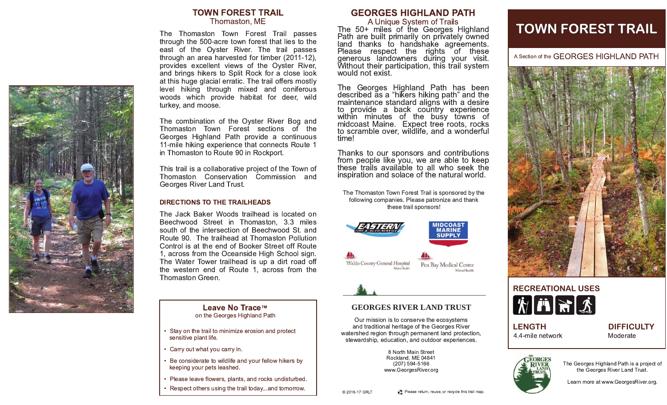

### **TOWN FOREST TRAIL** Thomaston, ME

The Thomaston Town Forest Trail passes through the 500-acre town forest that lies to the east of the Oyster River. The trail passes through an area harvested for timber (2011-12), provides excellent views of the Oyster River, and brings hikers to Split Rock for a close look at this huge glacial erratic. The trail offers mostly level hiking through mixed and coniferous woods which provide habitat for deer, wild turkey, and moose.

The combination of the Oyster River Bog and Thomaston Town Forest sections of the Georges Highland Path provide a continuous 11-mile hiking experience that connects Route 1 in Thomaston to Route 90 in Rockport.

This trail is a collaborative project of the Town of Thomaston Conservation Commission and Georges River Land Trust.

#### **DIRECTIONS TO THE TRAILHEADS**

The Jack Baker Woods trailhead is located on Beechwood Street in Thomaston, 3.3 miles south of the intersection of Beechwood St. and Route 90. The trailhead at Thomaston Pollution Control is at the end of Booker Street off Route 1, across from the Oceanside High School sign. The Water Tower trailhead is up a dirt road off the western end of Route 1, across from the Thomaston Green.

# Leave No Trace™ on the Georges Highland Path

- Stay on the trail to minimize erosion and protect sensitive plant life.
- Carry out what you carry in.
- Be considerate to wildlife and your fellow hikers by keeping your pets leashed.
- Please leave flowers, plants, and rocks undisturbed.
- Respect others using the trail today...and tomorrow.

# **GEORGES HIGHLAND PATH**

A Unique System of Trails<br>The 50+ miles of the Georges Highland<br>Path are built primarily on privately owned<br>land thanks to handshake agreements.<br>Please respect the rights of these denerous landowners during your visit. Without their participation, this trail system would not exist.

The Georges Highland Path has been<br>described as a "hikers hiking path" and the maintenance standard aligns with a desire to provide a back country experience<br>within minutes of the busy towns of midcoast Maine. Expect tree roots, rocks to scramble over, wildlife, and a wonderful time!

Thanks to our sponsors and contributions from people like you, we are able to keep these trails available to all who seek the inspiration and solace of the natural world.

The Thomaston Town Forest Trail is sponsored by the following companies. Please patronize and thank these trail sponsors!





Pen Bay Medical Center

## **GEORGES RIVER LAND TRUST**

Our mission is to conserve the ecosystems and traditional heritage of the Georges River watershed region through permanent land protection, stewardship, education, and outdoor experiences.

> 8 North Main Street Rockland, ME 04841 (207) 594-5166 www.GeorgesRiver.org

# **TOWN FOREST TRAIL**

A Section of the GEORGES HIGHLAND PATH





**LENGTH** 4.4-mile network **DIFFICULTY** Moderate



The Georges Highland Path is a project of the Georges River Land Trust.